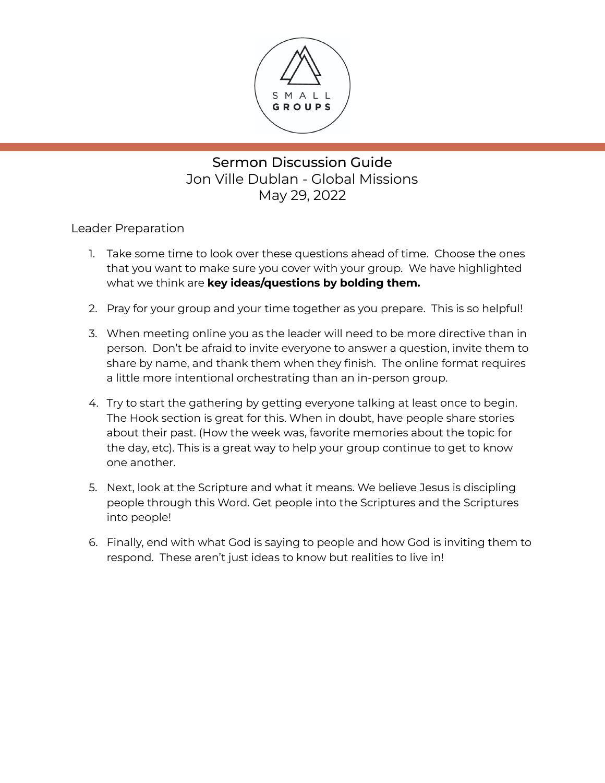

# Sermon Discussion Guide Jon Ville Dublan - Global Missions May 29, 2022

Leader Preparation

- 1. Take some time to look over these questions ahead of time. Choose the ones that you want to make sure you cover with your group. We have highlighted what we think are **key ideas/questions by bolding them.**
- 2. Pray for your group and your time together as you prepare. This is so helpful!
- 3. When meeting online you as the leader will need to be more directive than in person. Don't be afraid to invite everyone to answer a question, invite them to share by name, and thank them when they finish. The online format requires a little more intentional orchestrating than an in-person group.
- 4. Try to start the gathering by getting everyone talking at least once to begin. The Hook section is great for this. When in doubt, have people share stories about their past. (How the week was, favorite memories about the topic for the day, etc). This is a great way to help your group continue to get to know one another.
- 5. Next, look at the Scripture and what it means. We believe Jesus is discipling people through this Word. Get people into the Scriptures and the Scriptures into people!
- 6. Finally, end with what God is saying to people and how God is inviting them to respond. These aren't just ideas to know but realities to live in!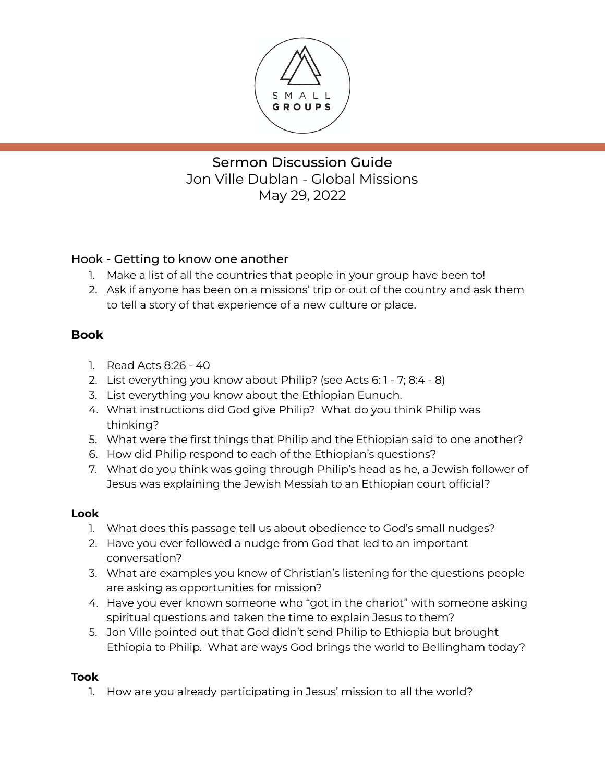

# Sermon Discussion Guide Jon Ville Dublan - Global Missions May 29, 2022

### Hook - Getting to know one another

- 1. Make a list of all the countries that people in your group have been to!
- 2. Ask if anyone has been on a missions' trip or out of the country and ask them to tell a story of that experience of a new culture or place.

### **Book**

- 1. Read Acts 8:26 40
- 2. List everything you know about Philip? (see Acts 6: 1 7; 8:4 8)
- 3. List everything you know about the Ethiopian Eunuch.
- 4. What instructions did God give Philip? What do you think Philip was thinking?
- 5. What were the first things that Philip and the Ethiopian said to one another?
- 6. How did Philip respond to each of the Ethiopian's questions?
- 7. What do you think was going through Philip's head as he, a Jewish follower of Jesus was explaining the Jewish Messiah to an Ethiopian court official?

#### **Look**

- 1. What does this passage tell us about obedience to God's small nudges?
- 2. Have you ever followed a nudge from God that led to an important conversation?
- 3. What are examples you know of Christian's listening for the questions people are asking as opportunities for mission?
- 4. Have you ever known someone who "got in the chariot" with someone asking spiritual questions and taken the time to explain Jesus to them?
- 5. Jon Ville pointed out that God didn't send Philip to Ethiopia but brought Ethiopia to Philip. What are ways God brings the world to Bellingham today?

#### **Took**

1. How are you already participating in Jesus' mission to all the world?